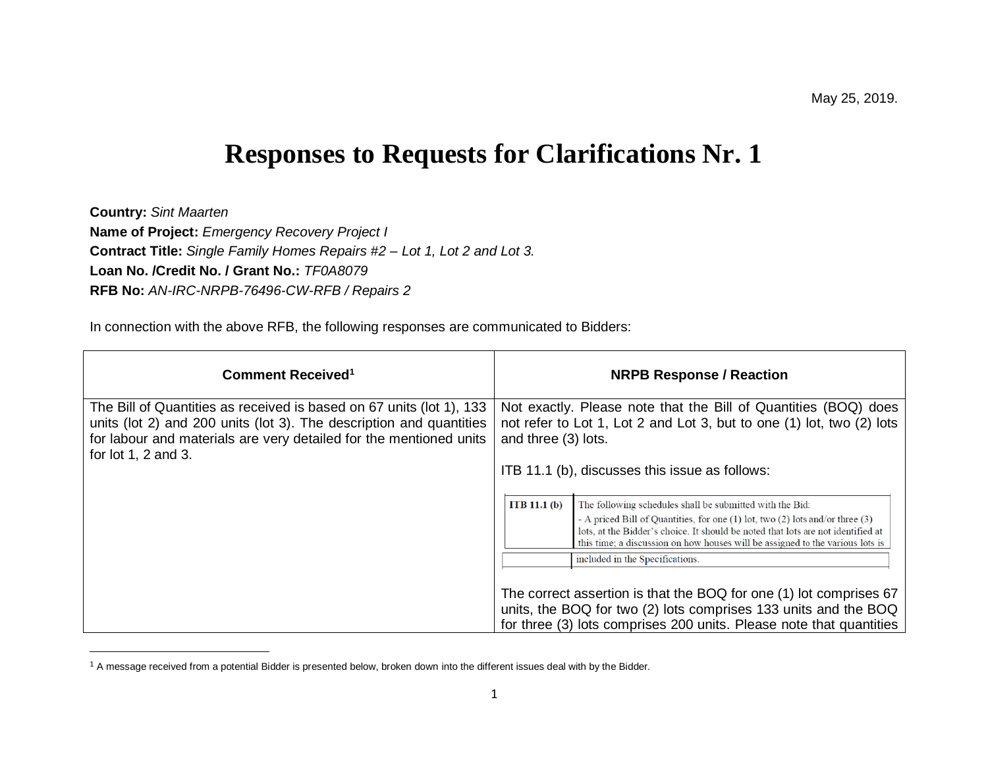## **Responses to Requests for Clarifications Nr. 1**

**Country:** *Sint Maarten* **Name of Project:** *Emergency Recovery Project I* **Contract Title:** *Single Family Homes Repairs #2 – Lot 1, Lot 2 and Lot 3.* **Loan No. /Credit No. / Grant No.:** *TF0A8079* **RFB No:** *AN-IRC-NRPB-76496-CW-RFB / Repairs 2*

In connection with the above RFB, the following responses are communicated to Bidders:

| Comment Received <sup>1</sup>                                                                                                                                                                                                              | <b>NRPB Response / Reaction</b>                                                                                                                                                                                                                                                                                                                                    |  |  |  |  |  |
|--------------------------------------------------------------------------------------------------------------------------------------------------------------------------------------------------------------------------------------------|--------------------------------------------------------------------------------------------------------------------------------------------------------------------------------------------------------------------------------------------------------------------------------------------------------------------------------------------------------------------|--|--|--|--|--|
| The Bill of Quantities as received is based on 67 units (lot 1), 133<br>units (lot 2) and 200 units (lot 3). The description and quantities<br>for labour and materials are very detailed for the mentioned units<br>for $lot 1, 2 and 3.$ | Not exactly. Please note that the Bill of Quantities (BOQ) does<br>not refer to Lot 1, Lot 2 and Lot 3, but to one (1) lot, two (2) lots<br>and three (3) lots.                                                                                                                                                                                                    |  |  |  |  |  |
|                                                                                                                                                                                                                                            | ITB 11.1 (b), discusses this issue as follows:                                                                                                                                                                                                                                                                                                                     |  |  |  |  |  |
|                                                                                                                                                                                                                                            | ITB $11.1(b)$<br>The following schedules shall be submitted with the Bid:<br>- A priced Bill of Quantities, for one (1) lot, two (2) lots and/or three (3)<br>lots, at the Bidder's choice. It should be noted that lots are not identified at<br>this time; a discussion on how houses will be assigned to the various lots is<br>included in the Specifications. |  |  |  |  |  |
|                                                                                                                                                                                                                                            | The correct assertion is that the BOQ for one (1) lot comprises 67<br>units, the BOQ for two (2) lots comprises 133 units and the BOQ<br>for three (3) lots comprises 200 units. Please note that quantities                                                                                                                                                       |  |  |  |  |  |

 $1$  A message received from a potential Bidder is presented below, broken down into the different issues deal with by the Bidder.

l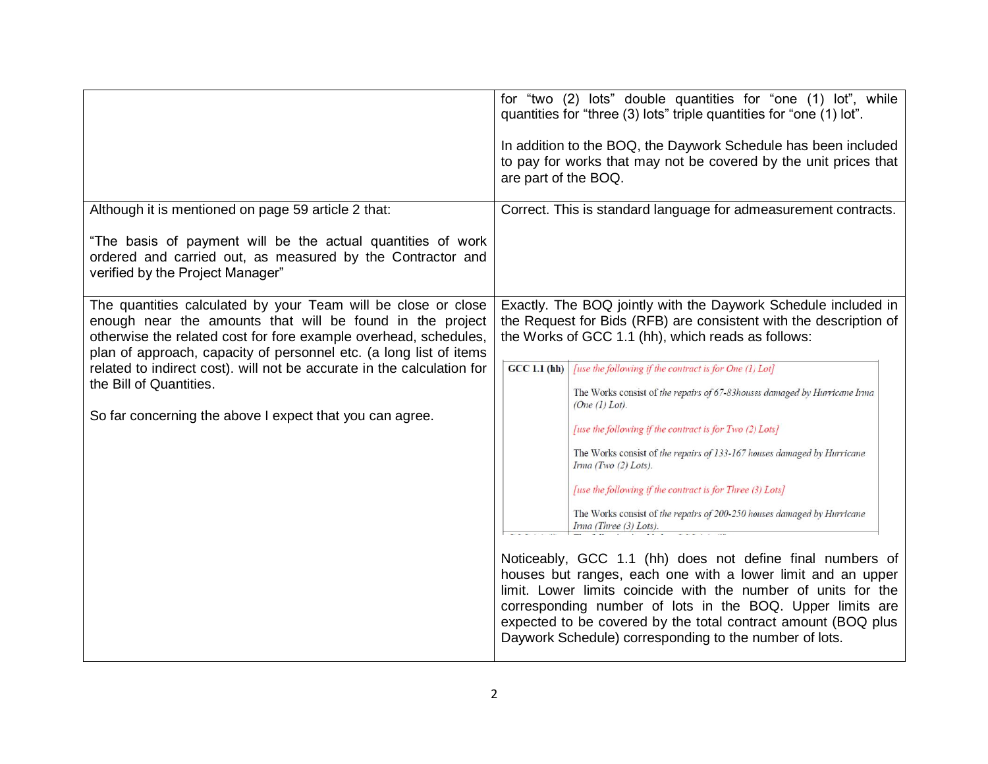|                                                                                                                                                                                                                                                                                                                                                                                                                                       | for "two (2) lots" double quantities for "one (1) lot", while<br>quantities for "three (3) lots" triple quantities for "one (1) lot".<br>In addition to the BOQ, the Daywork Schedule has been included<br>to pay for works that may not be covered by the unit prices that<br>are part of the BOQ.                                                                                                                                                                                                                                                                                                                                                                                                                                                                                                                                                                                                                                                                                                                                                                                               |
|---------------------------------------------------------------------------------------------------------------------------------------------------------------------------------------------------------------------------------------------------------------------------------------------------------------------------------------------------------------------------------------------------------------------------------------|---------------------------------------------------------------------------------------------------------------------------------------------------------------------------------------------------------------------------------------------------------------------------------------------------------------------------------------------------------------------------------------------------------------------------------------------------------------------------------------------------------------------------------------------------------------------------------------------------------------------------------------------------------------------------------------------------------------------------------------------------------------------------------------------------------------------------------------------------------------------------------------------------------------------------------------------------------------------------------------------------------------------------------------------------------------------------------------------------|
| Although it is mentioned on page 59 article 2 that:<br>"The basis of payment will be the actual quantities of work<br>ordered and carried out, as measured by the Contractor and<br>verified by the Project Manager"                                                                                                                                                                                                                  | Correct. This is standard language for admeasurement contracts.                                                                                                                                                                                                                                                                                                                                                                                                                                                                                                                                                                                                                                                                                                                                                                                                                                                                                                                                                                                                                                   |
| The quantities calculated by your Team will be close or close<br>enough near the amounts that will be found in the project<br>otherwise the related cost for fore example overhead, schedules,<br>plan of approach, capacity of personnel etc. (a long list of items<br>related to indirect cost). will not be accurate in the calculation for<br>the Bill of Quantities.<br>So far concerning the above I expect that you can agree. | Exactly. The BOQ jointly with the Daywork Schedule included in<br>the Request for Bids (RFB) are consistent with the description of<br>the Works of GCC 1.1 (hh), which reads as follows:<br>[use the following if the contract is for One (1) Lot]<br>GCC 1.1(hh)<br>The Works consist of the repairs of 67-83houses damaged by Hurricane Irma<br>(One (1) Lot).<br>[use the following if the contract is for Two (2) Lots]<br>The Works consist of the repairs of 133-167 houses damaged by Hurricane<br>Irma (Two (2) Lots).<br>[use the following if the contract is for Three (3) Lots]<br>The Works consist of the repairs of 200-250 houses damaged by Hurricane<br>$\textit{Imna}$ (Three (3) Lots).<br>Noticeably, GCC 1.1 (hh) does not define final numbers of<br>houses but ranges, each one with a lower limit and an upper<br>limit. Lower limits coincide with the number of units for the<br>corresponding number of lots in the BOQ. Upper limits are<br>expected to be covered by the total contract amount (BOQ plus<br>Daywork Schedule) corresponding to the number of lots. |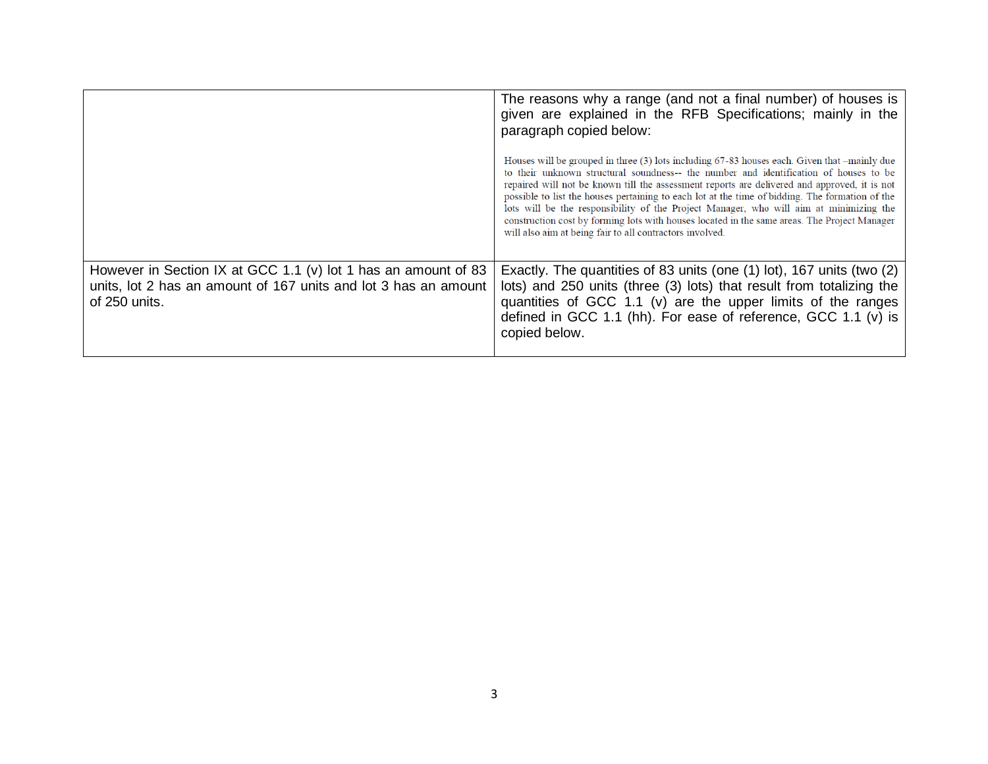|                                                                                                                                                    | The reasons why a range (and not a final number) of houses is<br>given are explained in the RFB Specifications; mainly in the<br>paragraph copied below:                                                                                                                                                                                                                                                                                                                                                                                                                                                                                                |  |  |  |  |
|----------------------------------------------------------------------------------------------------------------------------------------------------|---------------------------------------------------------------------------------------------------------------------------------------------------------------------------------------------------------------------------------------------------------------------------------------------------------------------------------------------------------------------------------------------------------------------------------------------------------------------------------------------------------------------------------------------------------------------------------------------------------------------------------------------------------|--|--|--|--|
|                                                                                                                                                    | Houses will be grouped in three (3) lots including 67-83 houses each. Given that $-\text{mainly due}$<br>to their unknown structural soundness-- the number and identification of houses to be<br>repaired will not be known till the assessment reports are delivered and approved, it is not<br>possible to list the houses pertaining to each lot at the time of bidding. The formation of the<br>lots will be the responsibility of the Project Manager, who will aim at minimizing the<br>construction cost by forming lots with houses located in the same areas. The Project Manager<br>will also aim at being fair to all contractors involved. |  |  |  |  |
| However in Section IX at GCC 1.1 (v) lot 1 has an amount of 83<br>units, lot 2 has an amount of 167 units and lot 3 has an amount<br>of 250 units. | Exactly. The quantities of 83 units (one (1) lot), 167 units (two (2)<br>lots) and 250 units (three (3) lots) that result from totalizing the<br>quantities of GCC 1.1 (v) are the upper limits of the ranges<br>defined in GCC 1.1 (hh). For ease of reference, GCC 1.1 (v) is<br>copied below.                                                                                                                                                                                                                                                                                                                                                        |  |  |  |  |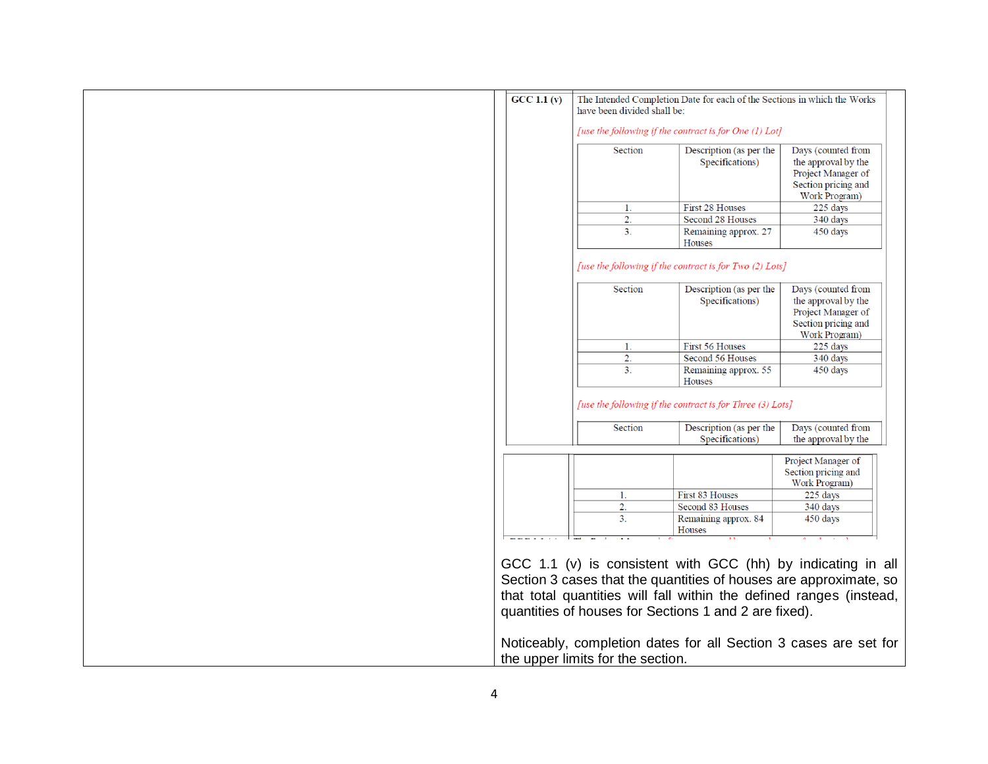| $\overline{GCC 1.1 (v)}$ | have been divided shall be:       | The Intended Completion Date for each of the Sections in which the Works                                |                                                                                                                                                                                                                                                                              |
|--------------------------|-----------------------------------|---------------------------------------------------------------------------------------------------------|------------------------------------------------------------------------------------------------------------------------------------------------------------------------------------------------------------------------------------------------------------------------------|
|                          | Section                           | [use the following if the contract is for One (1) Lot]<br>Description (as per the<br>Specifications)    | Days (counted from<br>the approval by the<br>Project Manager of<br>Section pricing and<br><b>Work Program</b> )                                                                                                                                                              |
|                          | 1.                                | First 28 Houses                                                                                         | 225 days                                                                                                                                                                                                                                                                     |
|                          | $\overline{2}$ .                  | Second 28 Houses                                                                                        | 340 days                                                                                                                                                                                                                                                                     |
|                          | 3 <sub>1</sub>                    | Remaining approx. 27<br>Houses                                                                          | 450 days                                                                                                                                                                                                                                                                     |
|                          | Section                           | [use the following if the contract is for Two (2) Lots]<br>Description (as per the<br>Specifications)   | Days (counted from<br>the approval by the<br>Project Manager of<br>Section pricing and<br><b>Work Program</b> )                                                                                                                                                              |
|                          | 1.                                | <b>First 56 Houses</b>                                                                                  | 225 days                                                                                                                                                                                                                                                                     |
|                          | 2.                                | Second 56 Houses                                                                                        | 340 days                                                                                                                                                                                                                                                                     |
|                          | 3.                                | Remaining approx. 55<br>Houses                                                                          | 450 days                                                                                                                                                                                                                                                                     |
|                          | Section                           | [use the following if the contract is for Three (3) Lots]<br>Description (as per the<br>Specifications) | Days (counted from                                                                                                                                                                                                                                                           |
|                          |                                   |                                                                                                         | the approval by the                                                                                                                                                                                                                                                          |
|                          |                                   |                                                                                                         | Project Manager of<br>Section pricing and<br>Work Program)                                                                                                                                                                                                                   |
|                          | 1.                                | First 83 Houses                                                                                         | 225 days                                                                                                                                                                                                                                                                     |
|                          | 2.                                | Second 83 Houses                                                                                        | 340 days                                                                                                                                                                                                                                                                     |
|                          | 3.                                | Remaining approx. 84<br>Houses                                                                          | 450 days                                                                                                                                                                                                                                                                     |
|                          | the upper limits for the section. | quantities of houses for Sections 1 and 2 are fixed).                                                   | GCC 1.1 (v) is consistent with GCC (hh) by indicating in all<br>Section 3 cases that the quantities of houses are approximate, so<br>that total quantities will fall within the defined ranges (instead,<br>Noticeably, completion dates for all Section 3 cases are set for |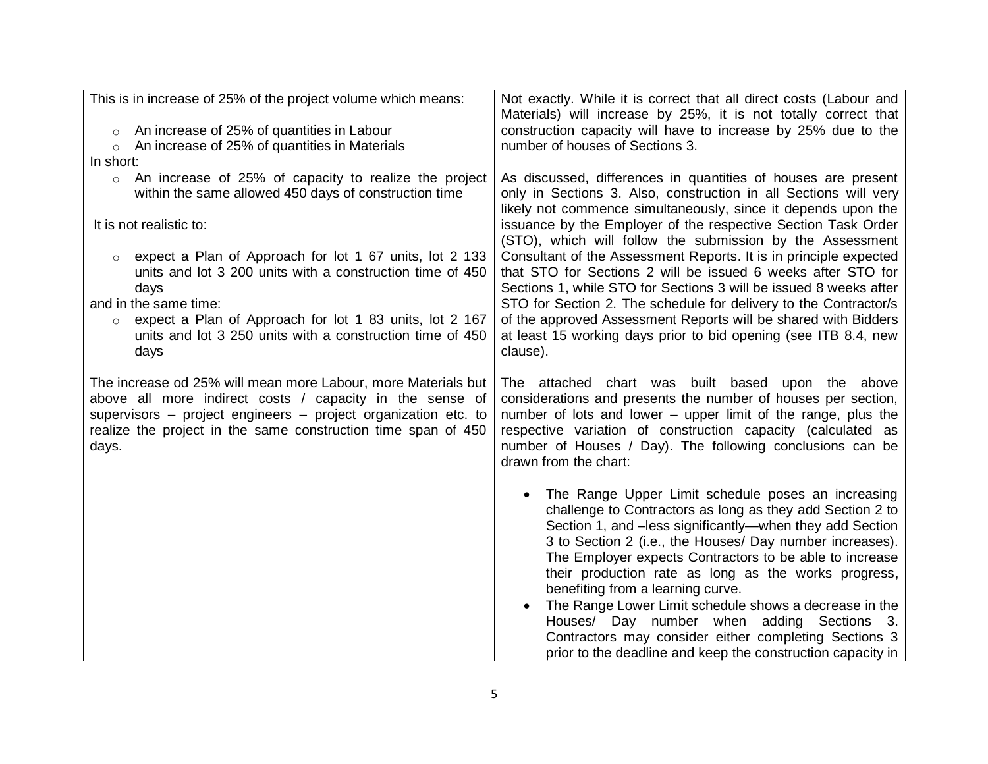| This is in increase of 25% of the project volume which means:                                                                                                                                                                                                         | Not exactly. While it is correct that all direct costs (Labour and<br>Materials) will increase by 25%, it is not totally correct that                                                                                                                                                                                                                      |
|-----------------------------------------------------------------------------------------------------------------------------------------------------------------------------------------------------------------------------------------------------------------------|------------------------------------------------------------------------------------------------------------------------------------------------------------------------------------------------------------------------------------------------------------------------------------------------------------------------------------------------------------|
| An increase of 25% of quantities in Labour<br>$\circ$                                                                                                                                                                                                                 | construction capacity will have to increase by 25% due to the                                                                                                                                                                                                                                                                                              |
| An increase of 25% of quantities in Materials<br>$\circ$                                                                                                                                                                                                              | number of houses of Sections 3.                                                                                                                                                                                                                                                                                                                            |
| In short:                                                                                                                                                                                                                                                             |                                                                                                                                                                                                                                                                                                                                                            |
| An increase of 25% of capacity to realize the project<br>$\circ$<br>within the same allowed 450 days of construction time                                                                                                                                             | As discussed, differences in quantities of houses are present<br>only in Sections 3. Also, construction in all Sections will very<br>likely not commence simultaneously, since it depends upon the                                                                                                                                                         |
| It is not realistic to:                                                                                                                                                                                                                                               | issuance by the Employer of the respective Section Task Order<br>(STO), which will follow the submission by the Assessment                                                                                                                                                                                                                                 |
| expect a Plan of Approach for lot 1 67 units, lot 2 133<br>units and lot 3 200 units with a construction time of 450<br>days                                                                                                                                          | Consultant of the Assessment Reports. It is in principle expected<br>that STO for Sections 2 will be issued 6 weeks after STO for<br>Sections 1, while STO for Sections 3 will be issued 8 weeks after                                                                                                                                                     |
| and in the same time:<br>expect a Plan of Approach for lot 1 83 units, lot 2 167<br>$\circ$<br>units and lot 3 250 units with a construction time of 450                                                                                                              | STO for Section 2. The schedule for delivery to the Contractor/s<br>of the approved Assessment Reports will be shared with Bidders<br>at least 15 working days prior to bid opening (see ITB 8.4, new                                                                                                                                                      |
| days                                                                                                                                                                                                                                                                  | clause).                                                                                                                                                                                                                                                                                                                                                   |
| The increase od 25% will mean more Labour, more Materials but<br>above all more indirect costs / capacity in the sense of<br>supervisors – project engineers – project organization etc. to<br>realize the project in the same construction time span of 450<br>days. | The attached chart was built based upon the above<br>considerations and presents the number of houses per section,<br>number of lots and lower – upper limit of the range, plus the<br>respective variation of construction capacity (calculated as<br>number of Houses / Day). The following conclusions can be<br>drawn from the chart:                  |
|                                                                                                                                                                                                                                                                       | The Range Upper Limit schedule poses an increasing<br>challenge to Contractors as long as they add Section 2 to<br>Section 1, and -less significantly-when they add Section<br>3 to Section 2 (i.e., the Houses/ Day number increases).<br>The Employer expects Contractors to be able to increase<br>their production rate as long as the works progress, |
|                                                                                                                                                                                                                                                                       | benefiting from a learning curve.<br>The Range Lower Limit schedule shows a decrease in the                                                                                                                                                                                                                                                                |
|                                                                                                                                                                                                                                                                       | Houses/ Day number when adding Sections 3.<br>Contractors may consider either completing Sections 3                                                                                                                                                                                                                                                        |
|                                                                                                                                                                                                                                                                       | prior to the deadline and keep the construction capacity in                                                                                                                                                                                                                                                                                                |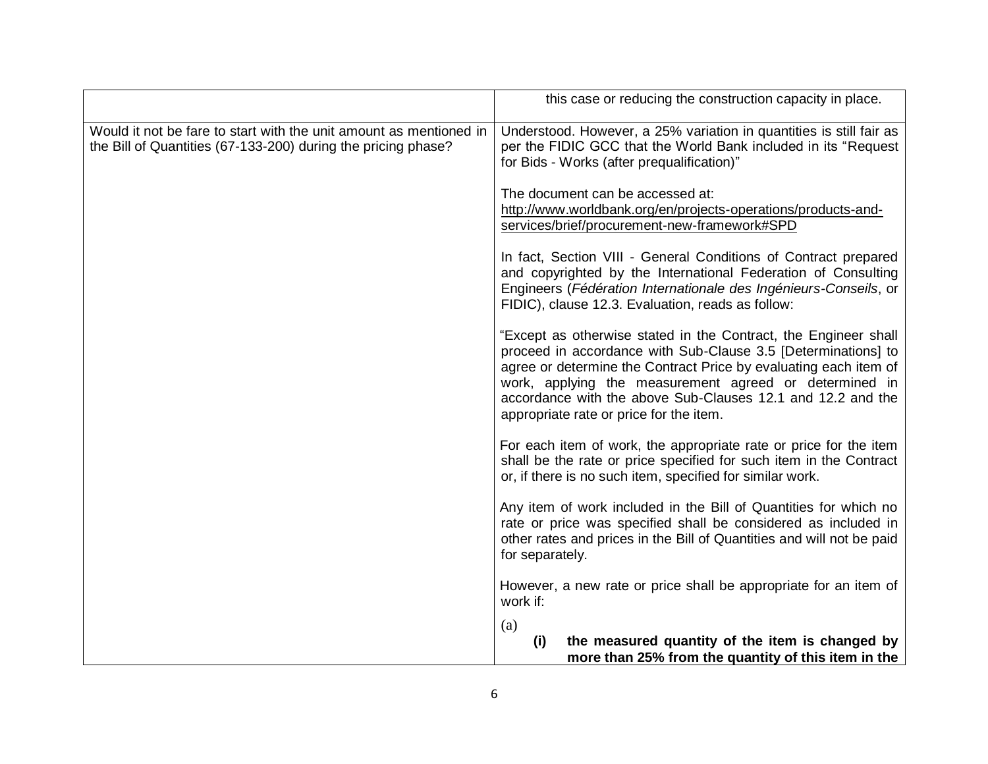|                                                                                                                                     | this case or reducing the construction capacity in place.                                                                                                                                                                                                                                                                                                                |
|-------------------------------------------------------------------------------------------------------------------------------------|--------------------------------------------------------------------------------------------------------------------------------------------------------------------------------------------------------------------------------------------------------------------------------------------------------------------------------------------------------------------------|
| Would it not be fare to start with the unit amount as mentioned in<br>the Bill of Quantities (67-133-200) during the pricing phase? | Understood. However, a 25% variation in quantities is still fair as<br>per the FIDIC GCC that the World Bank included in its "Request<br>for Bids - Works (after prequalification)"                                                                                                                                                                                      |
|                                                                                                                                     | The document can be accessed at:<br>http://www.worldbank.org/en/projects-operations/products-and-<br>services/brief/procurement-new-framework#SPD                                                                                                                                                                                                                        |
|                                                                                                                                     | In fact, Section VIII - General Conditions of Contract prepared<br>and copyrighted by the International Federation of Consulting<br>Engineers (Fédération Internationale des Ingénieurs-Conseils, or<br>FIDIC), clause 12.3. Evaluation, reads as follow:                                                                                                                |
|                                                                                                                                     | "Except as otherwise stated in the Contract, the Engineer shall<br>proceed in accordance with Sub-Clause 3.5 [Determinations] to<br>agree or determine the Contract Price by evaluating each item of<br>work, applying the measurement agreed or determined in<br>accordance with the above Sub-Clauses 12.1 and 12.2 and the<br>appropriate rate or price for the item. |
|                                                                                                                                     | For each item of work, the appropriate rate or price for the item<br>shall be the rate or price specified for such item in the Contract<br>or, if there is no such item, specified for similar work.                                                                                                                                                                     |
|                                                                                                                                     | Any item of work included in the Bill of Quantities for which no<br>rate or price was specified shall be considered as included in<br>other rates and prices in the Bill of Quantities and will not be paid<br>for separately.                                                                                                                                           |
|                                                                                                                                     | However, a new rate or price shall be appropriate for an item of<br>work if:                                                                                                                                                                                                                                                                                             |
|                                                                                                                                     | (a)<br>the measured quantity of the item is changed by<br>(i)<br>more than 25% from the quantity of this item in the                                                                                                                                                                                                                                                     |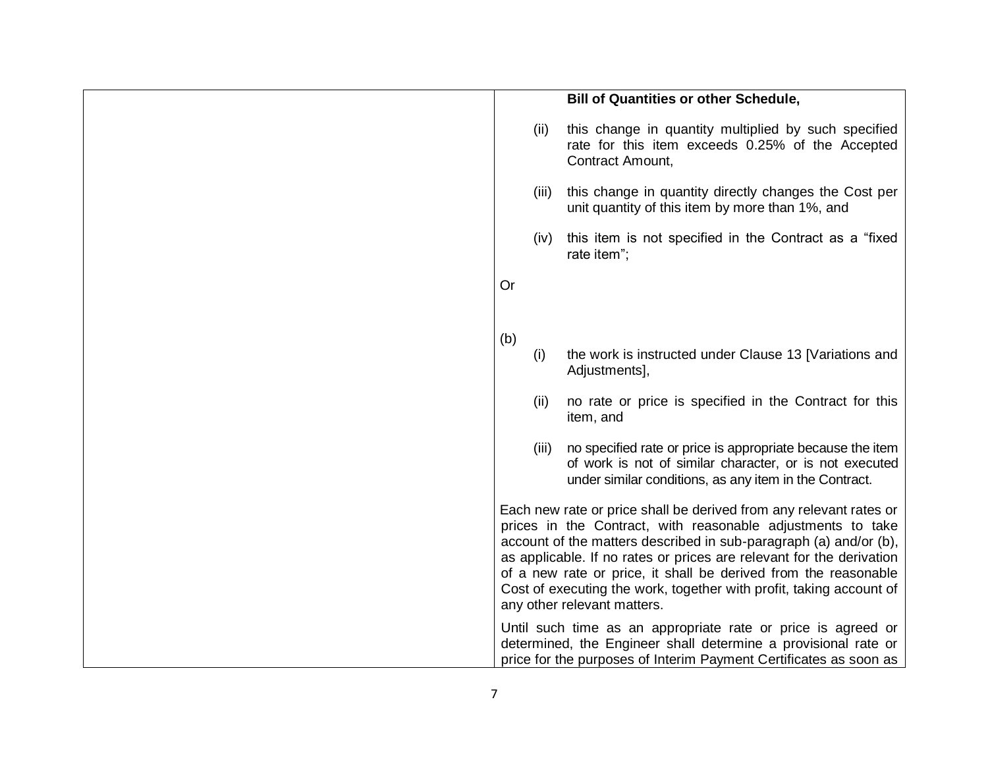|                                                                                                                                                                                                                                                                                                                                                                                                                                                         |       | <b>Bill of Quantities or other Schedule,</b>                                                                                                                                                        |  |  |
|---------------------------------------------------------------------------------------------------------------------------------------------------------------------------------------------------------------------------------------------------------------------------------------------------------------------------------------------------------------------------------------------------------------------------------------------------------|-------|-----------------------------------------------------------------------------------------------------------------------------------------------------------------------------------------------------|--|--|
|                                                                                                                                                                                                                                                                                                                                                                                                                                                         | (ii)  | this change in quantity multiplied by such specified<br>rate for this item exceeds 0.25% of the Accepted<br>Contract Amount,                                                                        |  |  |
|                                                                                                                                                                                                                                                                                                                                                                                                                                                         | (iii) | this change in quantity directly changes the Cost per<br>unit quantity of this item by more than 1%, and                                                                                            |  |  |
|                                                                                                                                                                                                                                                                                                                                                                                                                                                         | (iv)  | this item is not specified in the Contract as a "fixed<br>rate item";                                                                                                                               |  |  |
| Or                                                                                                                                                                                                                                                                                                                                                                                                                                                      |       |                                                                                                                                                                                                     |  |  |
| (b)                                                                                                                                                                                                                                                                                                                                                                                                                                                     |       |                                                                                                                                                                                                     |  |  |
|                                                                                                                                                                                                                                                                                                                                                                                                                                                         | (i)   | the work is instructed under Clause 13 [Variations and<br>Adjustments],                                                                                                                             |  |  |
|                                                                                                                                                                                                                                                                                                                                                                                                                                                         | (ii)  | no rate or price is specified in the Contract for this<br>item, and                                                                                                                                 |  |  |
|                                                                                                                                                                                                                                                                                                                                                                                                                                                         | (iii) | no specified rate or price is appropriate because the item<br>of work is not of similar character, or is not executed<br>under similar conditions, as any item in the Contract.                     |  |  |
| Each new rate or price shall be derived from any relevant rates or<br>prices in the Contract, with reasonable adjustments to take<br>account of the matters described in sub-paragraph (a) and/or (b),<br>as applicable. If no rates or prices are relevant for the derivation<br>of a new rate or price, it shall be derived from the reasonable<br>Cost of executing the work, together with profit, taking account of<br>any other relevant matters. |       |                                                                                                                                                                                                     |  |  |
|                                                                                                                                                                                                                                                                                                                                                                                                                                                         |       | Until such time as an appropriate rate or price is agreed or<br>determined, the Engineer shall determine a provisional rate or<br>price for the purposes of Interim Payment Certificates as soon as |  |  |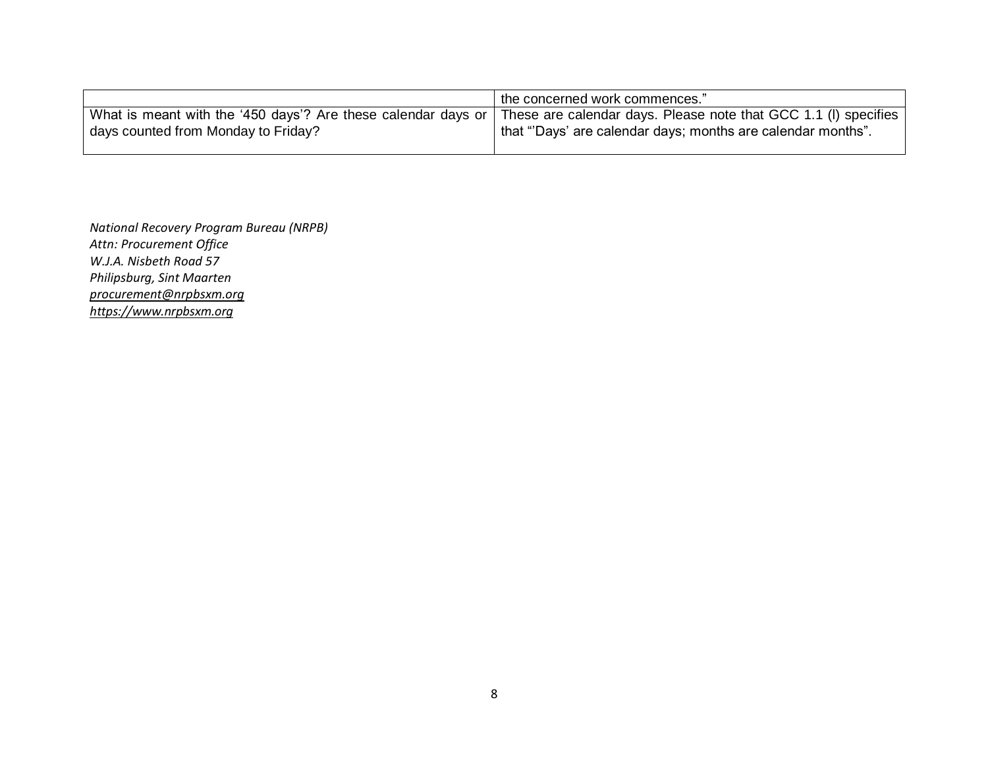|                                     | the concerned work commences."                                                                                                                                                                 |
|-------------------------------------|------------------------------------------------------------------------------------------------------------------------------------------------------------------------------------------------|
| days counted from Monday to Friday? | What is meant with the '450 days'? Are these calendar days or   These are calendar days. Please note that GCC 1.1 (I) specifies<br>that "Days' are calendar days; months are calendar months". |
|                                     |                                                                                                                                                                                                |

*National Recovery Program Bureau (NRPB) Attn: Procurement Office W.J.A. Nisbeth Road 57 Philipsburg, Sint Maarten [procurement@nrpbsxm.org](mailto:procurement@nrpbsxm.org) [https://www.nrpbsxm.org](https://www.nrpbsxm.org/)*